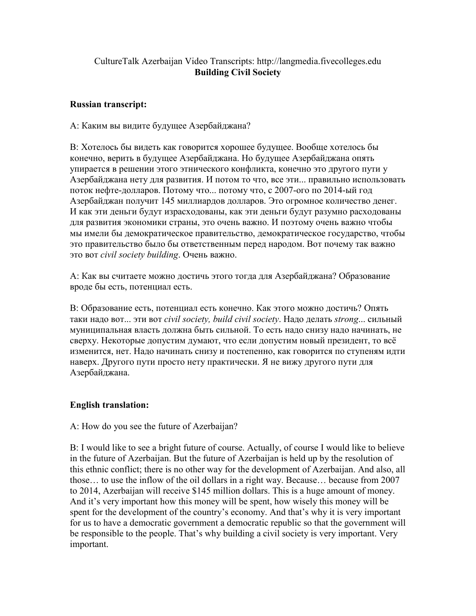## CultureTalk Azerbaijan Video Transcripts: http://langmedia.fivecolleges.edu Building Civil Society

## Russian transcript:

А: Каким вы видите будущее Азербайджана?

В: Хотелось бы видеть как говорится хорошее будущее. Вообще хотелось бы конечно, верить в будущее Азербайджана. Но будущее Азербайджана опять упирается в решении этого этнического конфликта, конечно это другого пути у Азербайджана нету для развития. И потом то что, все эти... правильно использовать поток нефте-долларов. Потому что... потому что, с 2007-ого по 2014-ый год Азербайджан получит 145 миллиардов долларов. Это огромное количество денег. И как эти деньги будут израсходованы, как эти деньги будут разумно расходованы для развития экономики страны, это очень важно. И поэтому очень важно чтобы мы имели бы демократическое правительство, демократическое государство, чтобы это правительство было бы ответственным перед народом. Вот почему так важно это вот civil society building. Очень важно.

А: Как вы считаете можно достичь этого тогда для Азербайджана? Образование вроде бы есть, потенциал есть.

В: Образование есть, потенциал есть конечно. Как этого можно достичь? Опять таки надо вот... эти вот civil society, build civil society. Надо делать strong... сильный муниципальная власть должна быть сильной. То есть надо снизу надо начинать, не сверху. Некоторые допустим думают, что если допустим новый президент, то всё изменится, нет. Надо начинать снизу и постепенно, как говорится по ступеням идти наверх. Другого пути просто нету практически. Я не вижу другого пути для Азербайджана.

## English translation:

A: How do you see the future of Azerbaijan?

B: I would like to see a bright future of course. Actually, of course I would like to believe in the future of Azerbaijan. But the future of Azerbaijan is held up by the resolution of this ethnic conflict; there is no other way for the development of Azerbaijan. And also, all those… to use the inflow of the oil dollars in a right way. Because… because from 2007 to 2014, Azerbaijan will receive \$145 million dollars. This is a huge amount of money. And it's very important how this money will be spent, how wisely this money will be spent for the development of the country's economy. And that's why it is very important for us to have a democratic government a democratic republic so that the government will be responsible to the people. That's why building a civil society is very important. Very important.